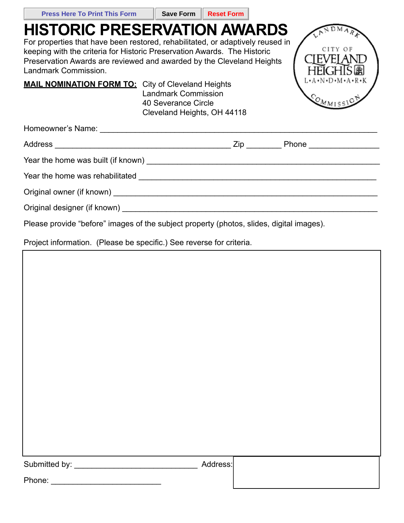| <b>Press Here To Print This Form</b>                                                                                                                                                                                                                                                               | <b>Save Form</b>                                                                 | <b>Reset Form</b> |                                   |
|----------------------------------------------------------------------------------------------------------------------------------------------------------------------------------------------------------------------------------------------------------------------------------------------------|----------------------------------------------------------------------------------|-------------------|-----------------------------------|
| <b>HISTORIC PRESERVATION AWARDS</b><br>For properties that have been restored, rehabilitated, or adaptively reused in<br>keeping with the criteria for Historic Preservation Awards. The Historic<br>Preservation Awards are reviewed and awarded by the Cleveland Heights<br>Landmark Commission. |                                                                                  |                   | CITY O                            |
| <b>MAIL NOMINATION FORM TO:</b> City of Cleveland Heights                                                                                                                                                                                                                                          | <b>Landmark Commission</b><br>40 Severance Circle<br>Cleveland Heights, OH 44118 |                   | L•A•N•D•M•A•R•K<br>$Q_{M_{MISS}}$ |
| Homeowner's Name: The contract of the contract of the contract of the contract of the contract of the contract of the contract of the contract of the contract of the contract of the contract of the contract of the contract                                                                     |                                                                                  |                   |                                   |
|                                                                                                                                                                                                                                                                                                    |                                                                                  |                   |                                   |
|                                                                                                                                                                                                                                                                                                    |                                                                                  |                   |                                   |
|                                                                                                                                                                                                                                                                                                    |                                                                                  |                   |                                   |
|                                                                                                                                                                                                                                                                                                    |                                                                                  |                   |                                   |
|                                                                                                                                                                                                                                                                                                    |                                                                                  |                   |                                   |
| Please provide "before" images of the subject property (photos, slides, digital images).                                                                                                                                                                                                           |                                                                                  |                   |                                   |
| Project information. (Please be specific.) See reverse for criteria.                                                                                                                                                                                                                               |                                                                                  |                   |                                   |

a r

|  | Submitted by: |  |
|--|---------------|--|
|  |               |  |

\_ Address:

| Phone: |  |
|--------|--|
|        |  |